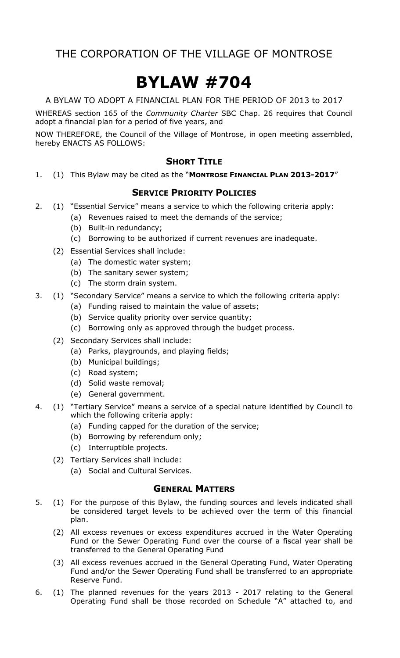# BYLAW #704

A BYLAW TO ADOPT A FINANCIAL PLAN FOR THE PERIOD OF 2013 to 2017

WHEREAS section 165 of the Community Charter SBC Chap. 26 requires that Council adopt a financial plan for a period of five years, and

NOW THEREFORE, the Council of the Village of Montrose, in open meeting assembled, hereby ENACTS AS FOLLOWS:

### **SHORT TITLE**

1. (1) This Bylaw may be cited as the "MONTROSE FINANCIAL PLAN 2013-2017"

### **SERVICE PRIORITY POLICIES**

- 2. (1) "Essential Service" means a service to which the following criteria apply:
	- (a) Revenues raised to meet the demands of the service;
	- (b) Built-in redundancy;
	- (c) Borrowing to be authorized if current revenues are inadequate.
	- (2) Essential Services shall include:
		- (a) The domestic water system;
		- (b) The sanitary sewer system;
		- (c) The storm drain system.
- 3. (1) "Secondary Service" means a service to which the following criteria apply:
	- (a) Funding raised to maintain the value of assets;
	- (b) Service quality priority over service quantity;
	- (c) Borrowing only as approved through the budget process.
	- (2) Secondary Services shall include:
		- (a) Parks, playgrounds, and playing fields;
		- (b) Municipal buildings;
		- (c) Road system;
		- (d) Solid waste removal;
		- (e) General government.
- 4. (1) "Tertiary Service" means a service of a special nature identified by Council to which the following criteria apply:
	- (a) Funding capped for the duration of the service;
	- (b) Borrowing by referendum only;
	- (c) Interruptible projects.
	- (2) Tertiary Services shall include:
		- (a) Social and Cultural Services.

### GENERAL MATTERS

- 5. (1) For the purpose of this Bylaw, the funding sources and levels indicated shall be considered target levels to be achieved over the term of this financial plan.
	- (2) All excess revenues or excess expenditures accrued in the Water Operating Fund or the Sewer Operating Fund over the course of a fiscal year shall be transferred to the General Operating Fund
	- (3) All excess revenues accrued in the General Operating Fund, Water Operating Fund and/or the Sewer Operating Fund shall be transferred to an appropriate Reserve Fund.
- 6. (1) The planned revenues for the years 2013 2017 relating to the General Operating Fund shall be those recorded on Schedule "A" attached to, and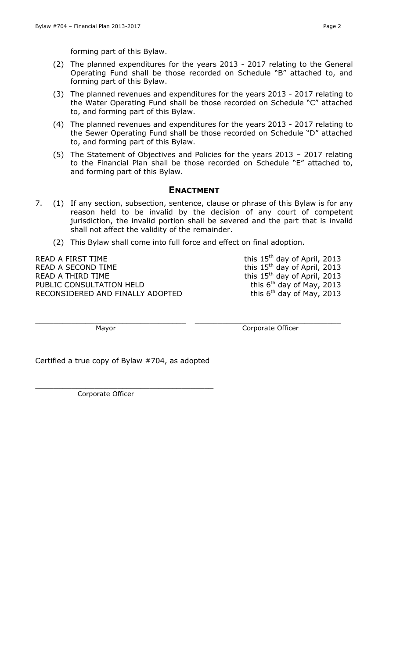forming part of this Bylaw.

- (2) The planned expenditures for the years 2013 2017 relating to the General Operating Fund shall be those recorded on Schedule "B" attached to, and forming part of this Bylaw.
- (3) The planned revenues and expenditures for the years 2013 2017 relating to the Water Operating Fund shall be those recorded on Schedule "C" attached to, and forming part of this Bylaw.
- (4) The planned revenues and expenditures for the years 2013 2017 relating to the Sewer Operating Fund shall be those recorded on Schedule "D" attached to, and forming part of this Bylaw.
- (5) The Statement of Objectives and Policies for the years 2013 2017 relating to the Financial Plan shall be those recorded on Schedule "E" attached to, and forming part of this Bylaw.

### ENACTMENT

7. (1) If any section, subsection, sentence, clause or phrase of this Bylaw is for any reason held to be invalid by the decision of any court of competent jurisdiction, the invalid portion shall be severed and the part that is invalid shall not affect the validity of the remainder.

\_\_\_\_\_\_\_\_\_\_\_\_\_\_\_\_\_\_\_\_\_\_\_\_\_\_\_\_\_\_\_\_\_ \_\_\_\_\_\_\_\_\_\_\_\_\_\_\_\_\_\_\_\_\_\_\_\_\_\_\_\_\_\_\_\_

(2) This Bylaw shall come into full force and effect on final adoption.

READ A FIRST TIME  $\qquad \qquad$  this  $15<sup>th</sup>$  day of April, 2013 READ A SECOND TIME  $R$  and  $R$  this 15<sup>th</sup> day of April, 2013 READ A THIRD TIME<br>
PUBLIC CONSULTATION HELD<br>  $\frac{15^{th}}{15}$  day of May, 2013 PUBLIC CONSULTATION HELD<br>RECONSIDERED AND FINALLY ADOPTED this  $6^{th}$  day of May, 2013 RECONSIDERED AND FINALLY ADOPTED

Mayor **Communist Communist Communist Communist Communist Communist Communist Communist Communist Communist Communist Communist Communist Communist Communist Communist Communist Communist Communist Communist Communist Commu** 

Certified a true copy of Bylaw #704, as adopted

\_\_\_\_\_\_\_\_\_\_\_\_\_\_\_\_\_\_\_\_\_\_\_\_\_\_\_\_\_\_\_\_\_\_\_\_\_\_\_ Corporate Officer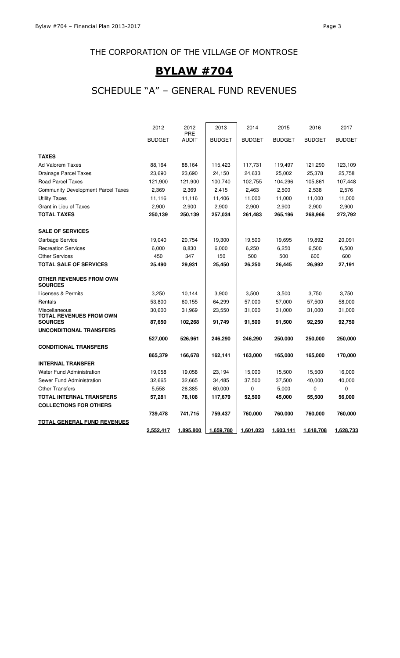# BYLAW #704

# SCHEDULE "A" – GENERAL FUND REVENUES

|                                                  | 2012          | 2012<br><b>PRE</b> | 2013          | 2014          | 2015          | 2016          | 2017          |
|--------------------------------------------------|---------------|--------------------|---------------|---------------|---------------|---------------|---------------|
|                                                  | <b>BUDGET</b> | <b>AUDIT</b>       | <b>BUDGET</b> | <b>BUDGET</b> | <b>BUDGET</b> | <b>BUDGET</b> | <b>BUDGET</b> |
| <b>TAXES</b>                                     |               |                    |               |               |               |               |               |
| Ad Valorem Taxes                                 | 88,164        | 88,164             | 115,423       | 117,731       | 119,497       | 121,290       | 123,109       |
| <b>Drainage Parcel Taxes</b>                     | 23,690        | 23,690             | 24,150        | 24,633        | 25,002        | 25,378        | 25,758        |
| <b>Road Parcel Taxes</b>                         | 121,900       | 121,900            | 100,740       | 102,755       | 104,296       | 105,861       | 107,448       |
| <b>Community Development Parcel Taxes</b>        | 2,369         | 2,369              | 2,415         | 2,463         | 2,500         | 2,538         | 2,576         |
| <b>Utility Taxes</b>                             | 11,116        | 11,116             | 11,406        | 11,000        | 11,000        | 11,000        | 11,000        |
| Grant in Lieu of Taxes                           | 2,900         | 2,900              | 2,900         | 2,900         | 2,900         | 2,900         | 2,900         |
| <b>TOTAL TAXES</b>                               | 250,139       | 250,139            | 257,034       | 261,483       | 265,196       | 268,966       | 272,792       |
| <b>SALE OF SERVICES</b>                          |               |                    |               |               |               |               |               |
| Garbage Service                                  | 19,040        | 20,754             | 19,300        | 19,500        | 19,695        | 19,892        | 20,091        |
| <b>Recreation Services</b>                       | 6,000         | 8,830              | 6,000         | 6,250         | 6,250         | 6,500         | 6,500         |
| <b>Other Services</b>                            | 450           | 347                | 150           | 500           | 500           | 600           | 600           |
| <b>TOTAL SALE OF SERVICES</b>                    | 25,490        | 29,931             | 25,450        | 26,250        | 26,445        | 26,992        | 27,191        |
| <b>OTHER REVENUES FROM OWN</b><br><b>SOURCES</b> |               |                    |               |               |               |               |               |
| Licenses & Permits                               | 3,250         | 10,144             | 3,900         | 3,500         | 3,500         | 3,750         | 3,750         |
| Rentals                                          | 53,800        | 60,155             | 64,299        | 57,000        | 57,000        | 57,500        | 58,000        |
| Miscellaneous<br><b>TOTAL REVENUES FROM OWN</b>  | 30,600        | 31,969             | 23,550        | 31,000        | 31,000        | 31,000        | 31,000        |
| <b>SOURCES</b>                                   | 87,650        | 102,268            | 91,749        | 91,500        | 91,500        | 92,250        | 92,750        |
| UNCONDITIONAL TRANSFERS                          |               |                    |               |               |               |               |               |
|                                                  | 527,000       | 526,961            | 246,290       | 246,290       | 250,000       | 250,000       | 250,000       |
| <b>CONDITIONAL TRANSFERS</b>                     |               |                    |               |               |               |               |               |
|                                                  | 865,379       | 166,678            | 162,141       | 163,000       | 165,000       | 165,000       | 170,000       |
| <b>INTERNAL TRANSFER</b>                         |               |                    |               |               |               |               |               |
| <b>Water Fund Administration</b>                 | 19,058        | 19,058             | 23,194        | 15,000        | 15,500        | 15,500        | 16,000        |
| Sewer Fund Administration                        | 32,665        | 32,665             | 34,485        | 37,500        | 37,500        | 40,000        | 40,000        |
| <b>Other Transfers</b>                           | 5,558         | 26,385             | 60,000        | 0             | 5,000         | 0             | 0             |
| <b>TOTAL INTERNAL TRANSFERS</b>                  | 57,281        | 78,108             | 117,679       | 52,500        | 45,000        | 55,500        | 56,000        |
| <b>COLLECTIONS FOR OTHERS</b>                    |               |                    |               |               |               |               |               |
|                                                  | 739,478       | 741,715            | 759,437       | 760,000       | 760,000       | 760,000       | 760,000       |
| <b>TOTAL GENERAL FUND REVENUES</b>               |               |                    |               |               |               |               |               |
|                                                  | 2,552,417     | 1,895,800          | 1,659,780     | 1,601,023     | 1,603,141     | 1,618,708     | 1,628,733     |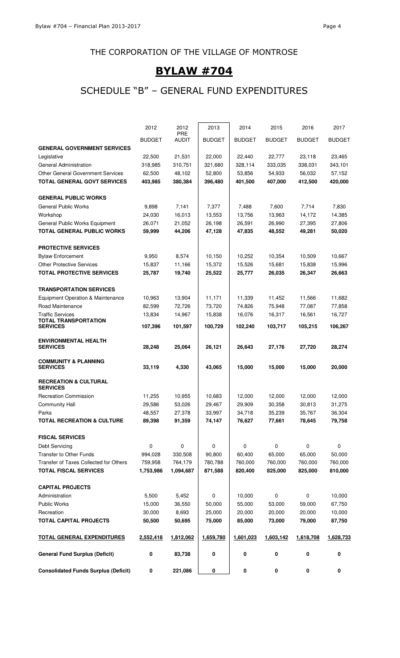# BYLAW #704

# SCHEDULE "B" – GENERAL FUND EXPENDITURES

| <b>Consolidated Funds Surplus (Deficit)</b>         | 0             | 221,086             | 0             | 0             | 0             | 0             | 0             |
|-----------------------------------------------------|---------------|---------------------|---------------|---------------|---------------|---------------|---------------|
| <b>General Fund Surplus (Deficit)</b>               | 0             | 83,738              | 0             | 0             | 0             | 0             | 0             |
| <u>TOTAL GENERAL EXPENDITURES</u>                   | 2,552,418     | 1,812,062           | 1,659,780     | 1,601,023     | 1,603,142     | 1,618,708     | 1,628,733     |
| <b>TOTAL CAPITAL PROJECTS</b>                       | 50,500        | 50,695              | 75,000        | 85,000        | 73,000        | 79,000        | 87,750        |
| Recreation                                          | 30,000        | 8,693               | 25,000        | 20,000        | 20,000        | 20,000        | 10,000        |
| <b>Public Works</b>                                 | 15,000        | 36,550              | 50,000        | 55,000        | 53,000        | 59,000        | 67,750        |
| Administration                                      | 5,500         | 5,452               | 0             | 10,000        | $\mathbf 0$   | 0             | 10,000        |
| <b>CAPITAL PROJECTS</b>                             |               |                     |               |               |               |               |               |
| <b>TOTAL FISCAL SERVICES</b>                        | 1,753,986     | 1,094,687           | 871,588       | 820,400       | 825,000       | 825,000       | 810,000       |
| Transfer of Taxes Collected for Others              | 759,958       | 764,179             | 780,788       | 760,000       | 760,000       | 760,000       | 760,000       |
| Transfer to Other Funds                             | 994,028       | 330,508             | 90,800        | 60,400        | 65,000        | 65,000        | 50,000        |
| <b>Debt Servicing</b>                               | 0             | $\pmb{0}$           | 0             | 0             | $\mathbf 0$   | 0             | 0             |
| <b>FISCAL SERVICES</b>                              |               |                     |               |               |               |               |               |
| <b>TOTAL RECREATION &amp; CULTURE</b>               | 89,398        | 91,359              | 74,147        | 76,627        | 77,661        | 78,645        | 79,758        |
| Parks                                               | 48,557        | 27,378              | 33,997        | 34,718        | 35,239        | 35,767        | 36,304        |
| Community Hall                                      | 29,586        | 53,026              | 29,467        | 29,909        | 30,358        | 30,813        | 31,275        |
| <b>Recreation Commission</b>                        | 11,255        | 10,955              | 10,683        | 12,000        | 12,000        | 12,000        | 12,000        |
| <b>RECREATION &amp; CULTURAL</b><br><b>SERVICES</b> |               |                     |               |               |               |               |               |
| <b>COMMUNITY &amp; PLANNING</b><br><b>SERVICES</b>  | 33,119        | 4,330               | 43,065        | 15,000        | 15,000        | 15,000        | 20,000        |
| <b>ENVIRONMENTAL HEALTH</b><br><b>SERVICES</b>      | 28,248        | 25,064              | 26,121        | 26,643        | 27,176        | 27,720        | 28,274        |
| TOTAL TRANSPORTATION<br><b>SERVICES</b>             | 107,396       | 101,597             | 100,729       | 102,240       | 103,717       | 105,215       | 106,267       |
| <b>Traffic Services</b>                             | 13,834        | 14,967              | 15,838        | 16,076        | 16,317        | 16,561        | 16,727        |
| Road Maintenance                                    | 82,599        | 72,726              | 73,720        | 74,826        | 75,948        | 77,087        | 77,858        |
| Equipment Operation & Maintenance                   | 10,963        | 13,904              | 11,171        | 11,339        | 11,452        | 11,566        | 11,682        |
| <b>TRANSPORTATION SERVICES</b>                      |               |                     |               |               |               |               |               |
| <b>TOTAL PROTECTIVE SERVICES</b>                    | 25,787        | 19,740              | 25,522        | 25,777        | 26,035        | 26,347        | 26,663        |
| <b>Other Protective Services</b>                    | 15,837        | 11,166              | 15,372        | 15,526        | 15,681        | 15,838        | 15,996        |
| <b>Bylaw Enforcement</b>                            | 9,950         | 8,574               | 10,150        | 10,252        | 10,354        | 10,509        | 10,667        |
| <b>PROTECTIVE SERVICES</b>                          |               |                     |               |               |               |               |               |
| <b>TOTAL GENERAL PUBLIC WORKS</b>                   | 59,999        | 44,206              | 47,128        | 47,835        | 48,552        | 49,281        | 50,020        |
| General Public Works Equipment                      | 26,071        | 21,052              | 26,198        | 26,591        | 26,990        | 27,395        | 27,806        |
| Workshop                                            | 24,030        | 16,013              | 13,553        | 13,756        | 13,963        | 14,172        | 14,385        |
| <b>General Public Works</b>                         | 9,898         | 7,141               | 7,377         | 7,488         | 7,600         | 7,714         | 7,830         |
| <b>GENERAL PUBLIC WORKS</b>                         |               |                     |               |               |               |               |               |
| <b>TOTAL GENERAL GOVT SERVICES</b>                  | 403,985       | 380,384             | 396,480       | 401,500       | 407,000       | 412,500       | 420,000       |
| <b>Other General Government Services</b>            | 62,500        | 48,102              | 52,800        | 53,856        | 54,933        | 56,032        | 57,152        |
| General Administration                              | 318,985       | 310,751             | 321,680       | 328,114       | 333,035       | 338,031       | 343,101       |
| Legislative                                         | 22,500        | 21,531              | 22,000        | 22,440        | 22,777        | 23,118        | 23,465        |
| <b>GENERAL GOVERNMENT SERVICES</b>                  |               |                     |               |               |               |               |               |
|                                                     | <b>BUDGET</b> | PRE<br><b>AUDIT</b> | <b>BUDGET</b> | <b>BUDGET</b> | <b>BUDGET</b> | <b>BUDGET</b> | <b>BUDGET</b> |
|                                                     | 2012          | 2012                | 2013          | 2014          | 2015          | 2016          | 2017          |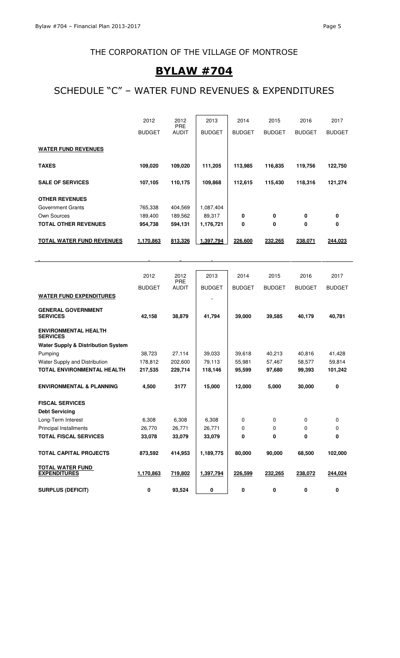### THE CORPORATION OF THE VILLAGE OF MONTROSE

### BYLAW #704

# SCHEDULE "C" – WATER FUND REVENUES & EXPENDITURES

|                                  | 2012          | 2012<br><b>PRE</b> | 2013          | 2014          | 2015          | 2016          | 2017          |
|----------------------------------|---------------|--------------------|---------------|---------------|---------------|---------------|---------------|
|                                  | <b>BUDGET</b> | <b>AUDIT</b>       | <b>BUDGET</b> | <b>BUDGET</b> | <b>BUDGET</b> | <b>BUDGET</b> | <b>BUDGET</b> |
| <b>WATER FUND REVENUES</b>       |               |                    |               |               |               |               |               |
| <b>TAXES</b>                     | 109,020       | 109,020            | 111,205       | 113,985       | 116,835       | 119,756       | 122,750       |
| <b>SALE OF SERVICES</b>          | 107,105       | 110,175            | 109,868       | 112,615       | 115,430       | 118,316       | 121,274       |
| <b>OTHER REVENUES</b>            |               |                    |               |               |               |               |               |
| Government Grants                | 765,338       | 404,569            | 1,087,404     |               |               |               |               |
| Own Sources                      | 189,400       | 189,562            | 89,317        | 0             | 0             | 0             | 0             |
| <b>TOTAL OTHER REVENUES</b>      | 954,738       | 594,131            | 1,176,721     | 0             | 0             | 0             | 0             |
| <b>TOTAL WATER FUND REVENUES</b> | 1,170,863     | 813,326            | 1,397,794     | 226,600       | 232,265       | 238,071       | 244,023       |

|                                                | 2012          | 2012<br>PRE  | 2013          | 2014          | 2015          | 2016          | 2017          |
|------------------------------------------------|---------------|--------------|---------------|---------------|---------------|---------------|---------------|
|                                                | <b>BUDGET</b> | <b>AUDIT</b> | <b>BUDGET</b> | <b>BUDGET</b> | <b>BUDGET</b> | <b>BUDGET</b> | <b>BUDGET</b> |
| <b>WATER FUND EXPENDITURES</b>                 |               |              |               |               |               |               |               |
|                                                |               |              |               |               |               |               |               |
| <b>GENERAL GOVERNMENT</b><br><b>SERVICES</b>   | 42,158        | 38,879       | 41,794        | 39,000        | 39,585        | 40,179        | 40,781        |
|                                                |               |              |               |               |               |               |               |
| <b>ENVIRONMENTAL HEALTH</b><br><b>SERVICES</b> |               |              |               |               |               |               |               |
| <b>Water Supply &amp; Distribution System</b>  |               |              |               |               |               |               |               |
| Pumping                                        | 38.723        | 27,114       | 39,033        | 39,618        | 40,213        | 40,816        | 41,428        |
| Water Supply and Distribution                  | 178,812       | 202,600      | 79,113        | 55,981        | 57,467        | 58,577        | 59,814        |
| <b>TOTAL ENVIRONMENTAL HEALTH</b>              | 217,535       | 229,714      | 118,146       | 95,599        | 97,680        | 99,393        | 101,242       |
| <b>ENVIRONMENTAL &amp; PLANNING</b>            | 4,500         | 3177         | 15,000        | 12,000        | 5,000         | 30,000        | 0             |
|                                                |               |              |               |               |               |               |               |
| <b>FISCAL SERVICES</b>                         |               |              |               |               |               |               |               |
| <b>Debt Servicing</b>                          |               |              |               |               |               |               |               |
| Long-Term Interest                             | 6,308         | 6,308        | 6,308         | 0             | 0             | 0             | 0             |
| <b>Principal Installments</b>                  | 26,770        | 26,771       | 26,771        | 0             | 0             | 0             | 0             |
| <b>TOTAL FISCAL SERVICES</b>                   | 33,078        | 33,079       | 33,079        | 0             | 0             | 0             | 0             |
| <b>TOTAL CAPITAL PROJECTS</b>                  | 873,592       | 414,953      | 1,189,775     | 80,000        | 90,000        | 68,500        | 102,000       |
|                                                |               |              |               |               |               |               |               |
| <b>TOTAL WATER FUND</b>                        |               |              |               |               |               |               |               |
| <b>EXPENDITURES</b>                            | 1,170,863     | 719,802      | 1,397,794     | 226,599       | 232,265       | 238,072       | 244,024       |
| <b>SURPLUS (DEFICIT)</b>                       | 0             | 93,524       | 0             | 0             | 0             | 0             | 0             |
|                                                |               |              |               |               |               |               |               |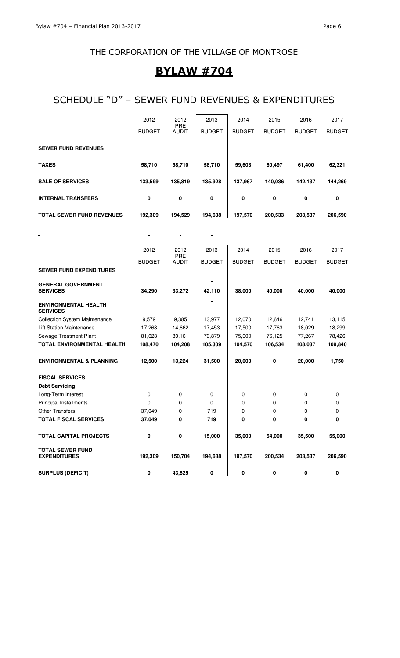### BYLAW #704

### SCHEDULE "D" – SEWER FUND REVENUES & EXPENDITURES

|                                                | 2012          | 2012                | 2013          | 2014          | 2015          | 2016          | 2017          |
|------------------------------------------------|---------------|---------------------|---------------|---------------|---------------|---------------|---------------|
|                                                | <b>BUDGET</b> | PRE<br><b>AUDIT</b> | <b>BUDGET</b> | <b>BUDGET</b> | <b>BUDGET</b> | <b>BUDGET</b> | <b>BUDGET</b> |
|                                                |               |                     |               |               |               |               |               |
| <b>SEWER FUND REVENUES</b>                     |               |                     |               |               |               |               |               |
| <b>TAXES</b>                                   | 58,710        | 58,710              | 58,710        | 59,603        | 60,497        | 61,400        | 62,321        |
| <b>SALE OF SERVICES</b>                        | 133,599       | 135,819             | 135,928       | 137,967       | 140,036       | 142,137       | 144,269       |
| <b>INTERNAL TRANSFERS</b>                      | 0             | 0                   | 0             | 0             | 0             | 0             | 0             |
| <b>TOTAL SEWER FUND REVENUES</b>               | 192,309       | 194,529             | 194,638       | 197,570       | 200,533       | 203,537       | 206,590       |
|                                                |               |                     |               |               |               |               |               |
|                                                |               |                     |               |               |               |               |               |
|                                                | 2012          | 2012<br><b>PRE</b>  | 2013          | 2014          | 2015          | 2016          | 2017          |
|                                                | <b>BUDGET</b> | <b>AUDIT</b>        | <b>BUDGET</b> | <b>BUDGET</b> | <b>BUDGET</b> | <b>BUDGET</b> | <b>BUDGET</b> |
| <b>SEWER FUND EXPENDITURES</b>                 |               |                     |               |               |               |               |               |
| <b>GENERAL GOVERNMENT</b>                      |               |                     |               |               |               |               |               |
| <b>SERVICES</b>                                | 34,290        | 33,272              | 42,110        | 38,000        | 40,000        | 40,000        | 40,000        |
| <b>ENVIRONMENTAL HEALTH</b><br><b>SERVICES</b> |               |                     |               |               |               |               |               |
| <b>Collection System Maintenance</b>           | 9,579         | 9,385               | 13,977        | 12,070        | 12,646        | 12,741        | 13,115        |
| <b>Lift Station Maintenance</b>                | 17,268        | 14,662              | 17,453        | 17,500        | 17,763        | 18,029        | 18,299        |
| Sewage Treatment Plant                         | 81,623        | 80,161              | 73,879        | 75,000        | 76,125        | 77,267        | 78,426        |
| TOTAL ENVIRONMENTAL HEALTH                     | 108,470       | 104,208             | 105,309       | 104,570       | 106,534       | 108,037       | 109,840       |
| <b>ENVIRONMENTAL &amp; PLANNING</b>            | 12,500        | 13,224              | 31,500        | 20,000        | 0             | 20,000        | 1,750         |
| <b>FISCAL SERVICES</b>                         |               |                     |               |               |               |               |               |
| <b>Debt Servicing</b>                          |               |                     |               |               |               |               |               |
| Long-Term Interest                             | 0             | 0                   | 0             | 0             | 0             | 0             | 0             |
| Principal Installments                         | 0             | 0                   | 0             | 0             | 0             | 0             | 0             |
| <b>Other Transfers</b>                         | 37,049        | 0                   | 719           | 0             | 0             | 0             | 0             |
| <b>TOTAL FISCAL SERVICES</b>                   | 37,049        | 0                   | 719           | 0             | 0             | 0             | 0             |
| <b>TOTAL CAPITAL PROJECTS</b>                  | 0             | 0                   | 15,000        | 35,000        | 54,000        | 35,500        | 55,000        |
| <b>TOTAL SEWER FUND</b><br><b>EXPENDITURES</b> | 192,309       | 150,704             | 194,638       | 197,570       | 200,534       | 203,537       | 206,590       |
| <b>SURPLUS (DEFICIT)</b>                       | 0             | 43,825              | 0             | 0             | 0             | 0             | 0             |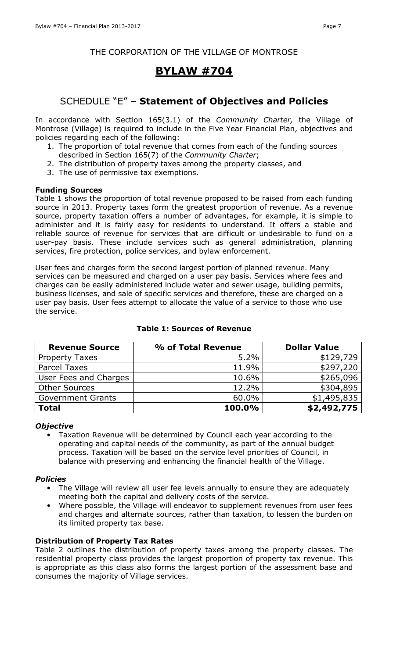### BYLAW #704

### SCHEDULE "E" – Statement of Objectives and Policies

In accordance with Section 165(3.1) of the Community Charter, the Village of Montrose (Village) is required to include in the Five Year Financial Plan, objectives and policies regarding each of the following:

- 1. The proportion of total revenue that comes from each of the funding sources described in Section 165(7) of the Community Charter;
- 2. The distribution of property taxes among the property classes, and
- 3. The use of permissive tax exemptions.

### Funding Sources

Table 1 shows the proportion of total revenue proposed to be raised from each funding source in 2013. Property taxes form the greatest proportion of revenue. As a revenue source, property taxation offers a number of advantages, for example, it is simple to administer and it is fairly easy for residents to understand. It offers a stable and reliable source of revenue for services that are difficult or undesirable to fund on a user-pay basis. These include services such as general administration, planning services, fire protection, police services, and bylaw enforcement.

User fees and charges form the second largest portion of planned revenue. Many services can be measured and charged on a user pay basis. Services where fees and charges can be easily administered include water and sewer usage, building permits, business licenses, and sale of specific services and therefore, these are charged on a user pay basis. User fees attempt to allocate the value of a service to those who use the service.

| <b>Revenue Source</b>    | % of Total Revenue | <b>Dollar Value</b> |
|--------------------------|--------------------|---------------------|
| <b>Property Taxes</b>    | 5.2%               | \$129,729           |
| <b>Parcel Taxes</b>      | 11.9%              | \$297,220           |
| User Fees and Charges    | 10.6%              | \$265,096           |
| <b>Other Sources</b>     | 12.2%              | \$304,895           |
| <b>Government Grants</b> | 60.0%              | \$1,495,835         |
| <b>Total</b>             | 100.0%             | \$2,492,775         |

### Table 1: Sources of Revenue

### **Objective**

• Taxation Revenue will be determined by Council each year according to the operating and capital needs of the community, as part of the annual budget process. Taxation will be based on the service level priorities of Council, in balance with preserving and enhancing the financial health of the Village.

### **Policies**

- The Village will review all user fee levels annually to ensure they are adequately meeting both the capital and delivery costs of the service.
- Where possible, the Village will endeavor to supplement revenues from user fees and charges and alternate sources, rather than taxation, to lessen the burden on its limited property tax base.

### Distribution of Property Tax Rates

Table 2 outlines the distribution of property taxes among the property classes. The residential property class provides the largest proportion of property tax revenue. This is appropriate as this class also forms the largest portion of the assessment base and consumes the majority of Village services.